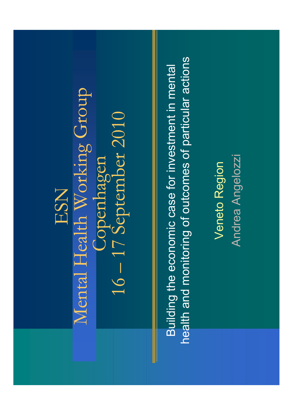## ESN

Mental Health Working Group 16-17 September 2010 Copenhagen

health and monitoring of outcomes of particular actions Building the economic case for investment in mental

Andrea Angelozzi Veneto Region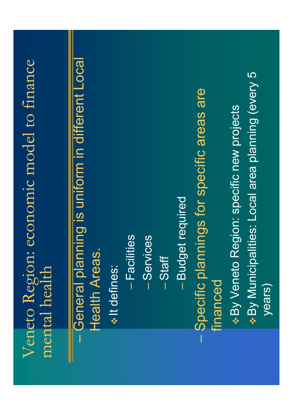## Veneto Region: economic model to finance mental health

General planning is uniform in different Local **Health Areas.** 

\* It defines:

- Facilities

-Services

- Staff

- Budget required

- Specific plannings for specific areas are financed

\* By Municipalities: Local area planning (every 5 \* By Veneto Region: specific new projects years)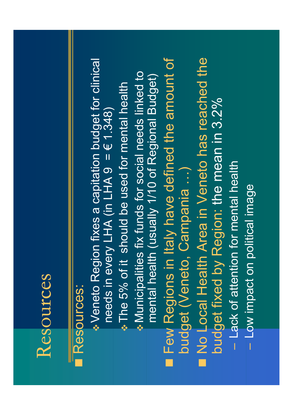#### Resources

### Resources:

- No Local Health Area in Veneto has reached the Veneto Region fixes a capitation budget for clinical **Few Regions in Italy have defined the amount of** . Municipalities fix funds for social needs linked to mental health (usually 1/10 of Regional Budget) The 5% of it should be used for mental health budget fixed by Region: the mean in 3.2% needs in every LHA (in LHA  $9 = 6$  1.348) budget (Veneto, Campania ...)
- Lack of attention for mental health - Low impact on political image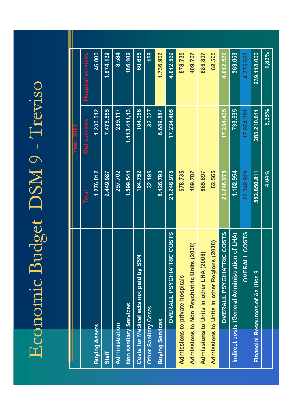# Economic Budget DSM 9 - Treviso

| <b>Year 2009</b> | <b>Hospital services</b> | 46.000               | 1.974.132    | 8.584          | 186.102               | 60.685                                 | 158                         | 1.736.906              | 4.012.569                                   | 578.735                                | 409.707                                    | 685.897                                 | 62.565                                                | 4.012.569                        | 363.059                                        | 4.375.628            | 239.118.000                      | 1,83% |
|------------------|--------------------------|----------------------|--------------|----------------|-----------------------|----------------------------------------|-----------------------------|------------------------|---------------------------------------------|----------------------------------------|--------------------------------------------|-----------------------------------------|-------------------------------------------------------|----------------------------------|------------------------------------------------|----------------------|----------------------------------|-------|
|                  | <b>Out services</b>      | 1.230.012            | 7.475.855    | 289.117        | 1.413.441,43          | 104.066                                | 32.027                      | 6.689.884              | 17.234.405                                  |                                        |                                            |                                         |                                                       | 17.234.405                       | 739.895                                        | 17.974.301           | 283.210.811                      | 6,35% |
|                  | <b>Total</b>             | 1.276.012            | 9.449.987    | 297.702        | 1.599.544             | 164.752                                | 32.185                      | 8.426.790              | 21.246.975                                  | 578.735                                | 409.707                                    | 685.897                                 | 62.565                                                | 21.246.975                       | 1.102.954                                      | 22.349.929           | 552.650.811                      | 4,04% |
|                  |                          | <b>Buying Assets</b> | <b>Staff</b> | Administration | Non sanitary Services | Costs for Medical acts not paid by SSN | <b>Other Sanitary Costs</b> | <b>Buying Services</b> | <b>RIC COSTS</b><br><b>OVERALL PSYCHIAT</b> | <b>Admissions to private hospitals</b> | Admissions to Non Psychiatric Units (2008) | Admissions to Units in other LHA (2008) | s(2008)<br><b>Admissions to Units in other Region</b> | <b>OVERALL PSYCHIATRIC COSTS</b> | Indirect costs (General Administration of LHA) | <b>OVERALL COSTS</b> | Financial Resources of Az.Ulss 9 |       |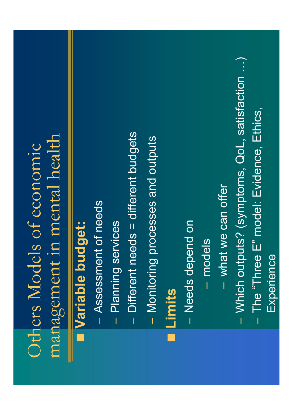### management in mental health Others Models of economic

## Variable budget:

- Assessment of needs
- Planning services
- $-$  Different needs  $=$  different budgets
- Monitoring processes and outputs

#### Limits

- Needs depend on
- models
- what we can offer
- Which outputs? (symptoms, QoL, satisfaction ...)
	- The "Three E" model: Evidence, Ethics, Experience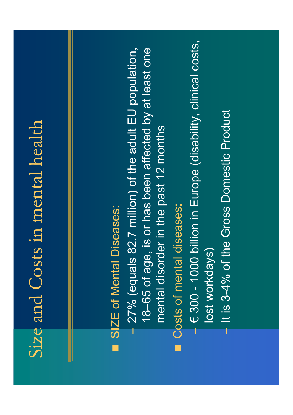## Size and Costs in mental health

## SIZE of Mental Diseases:

- 18-65 of age, is or has been affected by at least one  $-27\%$  (equals 82.7 million) of the adult EU population, mental disorder in the past 12 months
- Costs of mental diseases:
- € 300 1000 billion in Europe (disability, clinical costs, lost workdays)
	- It is 3-4% of the Gross Domestic Product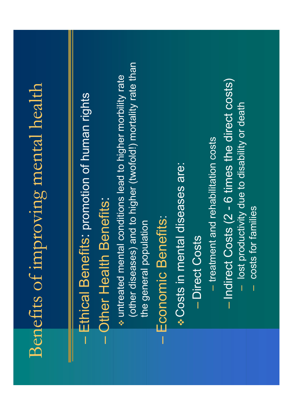# Benefits of improving mental health

## Ethical Benefits: promotion of human rights

## **Other Health Benefits:**

(other diseases) and to higher (twofold!) mortality rate than w untreated mental conditions lead to higher morbility rate the general population

## Economic Benefits:

Costs in mental diseases are:

- Direct Costs
- treatment and rehabilitation costs
- Indirect Costs (2 6 times the direct costs)
	- lost productivity due to disability or death
		- costs for families